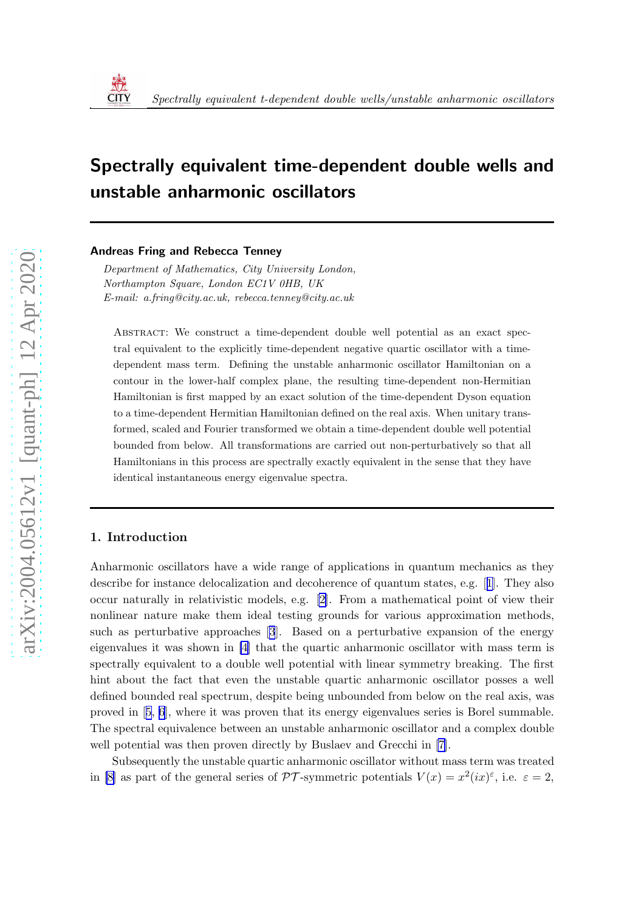

# Spectrally equivalent time-dependent double wells and unstable anharmonic oscillators

Andreas Fring and Rebecca Tenney

*Department of Mathematics, City University London, Northampton Square, London EC1V 0HB, UK E-mail: a.fring@city.ac.uk, rebecca.tenney@city.ac.uk*

Abstract: We construct a time-dependent double well potential as an exact spectral equivalent to the explicitly time-dependent negative quartic oscillator with a timedependent mass term. Defining the unstable anharmonic oscillator Hamiltonian on a contour in the lower-half complex plane, the resulting time-dependent non-Hermitian Hamiltonian is first mapped by an exact solution of the time-dependent Dyson equation to a time-dependent Hermitian Hamiltonian defined on the real axis. When unitary transformed, scaled and Fourier transformed we obtain a time-dependent double well potential bounded from below. All transformations are carried out non-perturbatively so that all Hamiltonians in this process are spectrally exactly equivalent in the sense that they have identical instantaneous energy eigenvalue spectra.

### 1. Introduction

Anharmonic oscillators have a wide range of applications in quantum mechanics as they describe for instance delocalization and decoherence of quantum states, e.g.[[1](#page-5-0)]. They also occur naturally in relativistic models, e.g. [\[2\]](#page-5-0). From a mathematical point of view their nonlinear nature make them ideal testing grounds for various approximation methods, such as perturbative approaches [\[3](#page-5-0)]. Based on a perturbative expansion of the energy eigenvalues it was shown in [\[4\]](#page-5-0) that the quartic anharmonic oscillator with mass term is spectrally equivalent to a double well potential with linear symmetry breaking. The first hint about the fact that even the unstable quartic anharmonic oscillator posses a well defined bounded real spectrum, despite being unbounded from below on the real axis, was proved in[[5](#page-5-0), [6](#page-5-0)], where it was proven that its energy eigenvalues series is Borel summable. The spectral equivalence between an unstable anharmonic oscillator and a complex double well potential was then proven directly by Buslaev and Grecchi in [\[7\]](#page-5-0).

Subsequently the unstable quartic anharmonic oscillator without mass term was treated in [\[8\]](#page-5-0) as part of the general series of  $\mathcal{PT}$ -symmetric potentials  $V(x) = x^2(ix)^{\varepsilon}$ , i.e.  $\varepsilon = 2$ ,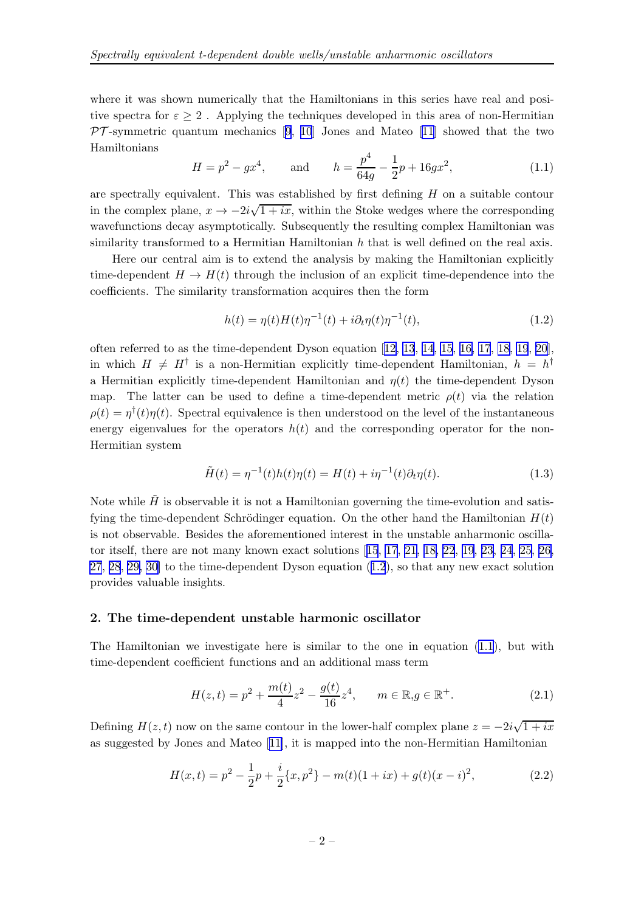<span id="page-1-0"></span>where it was shown numerically that the Hamiltonians in this series have real and positive spectra for  $\varepsilon \geq 2$ . Applying the techniques developed in this area of non-Hermitian  $PT$ -symmetricquantum mechanics [[9](#page-5-0), [10](#page-5-0)] Jones and Mateo [\[11](#page-5-0)] showed that the two Hamiltonians

$$
H = p^2 - gx^4, \qquad \text{and} \qquad h = \frac{p^4}{64g} - \frac{1}{2}p + 16gx^2,\tag{1.1}
$$

are spectrally equivalent. This was established by first defining  $H$  on a suitable contour in the complex plane,  $x \to -2i\sqrt{1+ix}$ , within the Stoke wedges where the corresponding wavefunctions decay asymptotically. Subsequently the resulting complex Hamiltonian was similarity transformed to a Hermitian Hamiltonian  $h$  that is well defined on the real axis.

Here our central aim is to extend the analysis by making the Hamiltonian explicitly time-dependent  $H \to H(t)$  through the inclusion of an explicit time-dependence into the coefficients. The similarity transformation acquires then the form

$$
h(t) = \eta(t)H(t)\eta^{-1}(t) + i\partial_t \eta(t)\eta^{-1}(t),
$$
\n(1.2)

often referred to as the time-dependent Dyson equation[[12,](#page-5-0) [13](#page-5-0), [14, 15](#page-5-0), [16, 17](#page-5-0), [18, 19](#page-6-0), [20\]](#page-6-0), in which  $H \neq H^{\dagger}$  is a non-Hermitian explicitly time-dependent Hamiltonian,  $h = h^{\dagger}$ a Hermitian explicitly time-dependent Hamiltonian and  $\eta(t)$  the time-dependent Dyson map. The latter can be used to define a time-dependent metric  $\rho(t)$  via the relation  $\rho(t) = \eta^{\dagger}(t)\eta(t)$ . Spectral equivalence is then understood on the level of the instantaneous energy eigenvalues for the operators  $h(t)$  and the corresponding operator for the non-Hermitian system

$$
\tilde{H}(t) = \eta^{-1}(t)h(t)\eta(t) = H(t) + i\eta^{-1}(t)\partial_t\eta(t).
$$
\n(1.3)

Note while  $H$  is observable it is not a Hamiltonian governing the time-evolution and satisfying the time-dependent Schrödinger equation. On the other hand the Hamiltonian  $H(t)$ is not observable. Besides the aforementioned interest in the unstable anharmonic oscillator itself, there are not many known exact solutions[[15](#page-5-0), [17](#page-5-0), [21, 18, 22](#page-6-0), [19](#page-6-0), [23, 24](#page-6-0), [25](#page-6-0), [26,](#page-6-0) [27](#page-6-0), [28](#page-6-0), [29, 30\]](#page-6-0) to the time-dependent Dyson equation (1.2), so that any new exact solution provides valuable insights.

### 2. The time-dependent unstable harmonic oscillator

The Hamiltonian we investigate here is similar to the one in equation (1.1), but with time-dependent coefficient functions and an additional mass term

$$
H(z,t) = p^2 + \frac{m(t)}{4}z^2 - \frac{g(t)}{16}z^4, \qquad m \in \mathbb{R}, g \in \mathbb{R}^+.
$$
 (2.1)

Defining  $H(z,t)$  now on the same contour in the lower-half complex plane  $z = -2i\sqrt{1+ix}$ as suggested by Jones and Mateo[[11\]](#page-5-0), it is mapped into the non-Hermitian Hamiltonian

$$
H(x,t) = p^2 - \frac{1}{2}p + \frac{i}{2}\{x, p^2\} - m(t)(1+ix) + g(t)(x-i)^2,
$$
\n(2.2)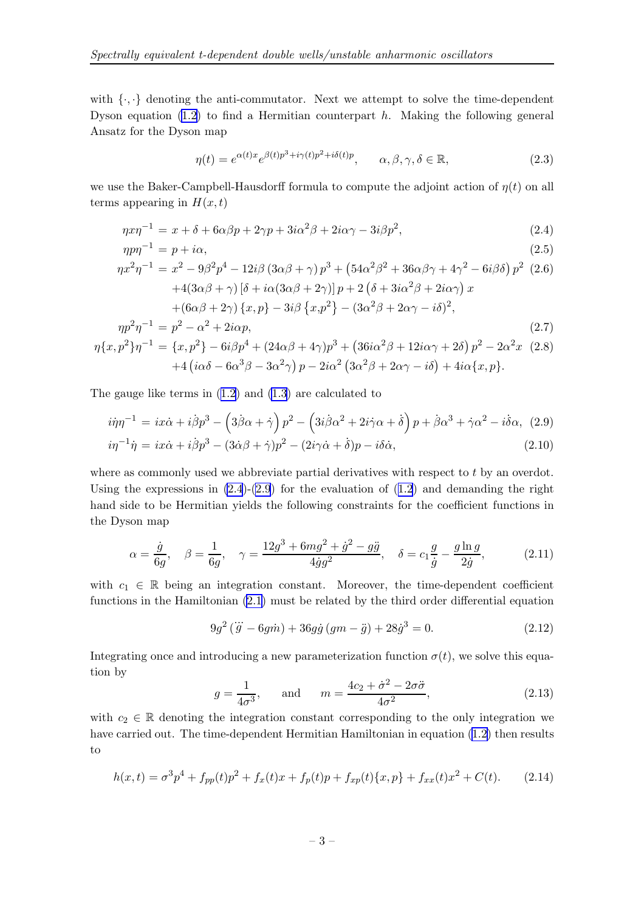<span id="page-2-0"></span>with  $\{\cdot,\cdot\}$  denoting the anti-commutator. Next we attempt to solve the time-dependent Dyson equation  $(1.2)$  to find a Hermitian counterpart h. Making the following general Ansatz for the Dyson map

$$
\eta(t) = e^{\alpha(t)x} e^{\beta(t)p^3 + i\gamma(t)p^2 + i\delta(t)p}, \qquad \alpha, \beta, \gamma, \delta \in \mathbb{R},
$$
\n(2.3)

we use the Baker-Campbell-Hausdorff formula to compute the adjoint action of  $\eta(t)$  on all terms appearing in  $H(x,t)$ 

$$
\eta x \eta^{-1} = x + \delta + 6\alpha\beta p + 2\gamma p + 3i\alpha^2 \beta + 2i\alpha\gamma - 3i\beta p^2,\tag{2.4}
$$

$$
\eta p \eta^{-1} = p + i\alpha,\tag{2.5}
$$

$$
\eta x^2 \eta^{-1} = x^2 - 9\beta^2 p^4 - 12i\beta (3\alpha\beta + \gamma) p^3 + (54\alpha^2 \beta^2 + 36\alpha\beta\gamma + 4\gamma^2 - 6i\beta\delta) p^2 (2.6) + 4(3\alpha\beta + \gamma) [\delta + i\alpha(3\alpha\beta + 2\gamma)] p + 2 (\delta + 3i\alpha^2\beta + 2i\alpha\gamma) x + (6\alpha\beta + 2\gamma) \{x, p\} - 3i\beta \{x, p^2\} - (3\alpha^2\beta + 2\alpha\gamma - i\delta)^2, \n\eta p^2 \eta^{-1} = p^2 - \alpha^2 + 2i\alpha p,
$$
\n(2.7)

$$
\eta\{x, p^2\}\eta^{-1} = \{x, p^2\} - 6i\beta p^4 + (24\alpha\beta + 4\gamma)p^3 + (36i\alpha^2\beta + 12i\alpha\gamma + 2\delta) p^2 - 2\alpha^2 x \tag{2.8} + 4(i\alpha\delta - 6\alpha^3\beta - 3\alpha^2\gamma) p - 2i\alpha^2 (3\alpha^2\beta + 2\alpha\gamma - i\delta) + 4i\alpha\{x, p\}.
$$

The gauge like terms in [\(1.2\)](#page-1-0) and [\(1.3](#page-1-0)) are calculated to

$$
i\dot{\eta}\eta^{-1} = ix\dot{\alpha} + i\dot{\beta}p^3 - (3\dot{\beta}\alpha + \dot{\gamma})p^2 - (3i\dot{\beta}\alpha^2 + 2i\dot{\gamma}\alpha + \dot{\delta})p + \dot{\beta}\alpha^3 + \dot{\gamma}\alpha^2 - i\dot{\delta}\alpha, (2.9)
$$
  

$$
i\eta^{-1}\dot{\eta} = ix\dot{\alpha} + i\dot{\beta}p^3 - (3\dot{\alpha}\beta + \dot{\gamma})p^2 - (2i\gamma\dot{\alpha} + \dot{\delta})p - i\delta\dot{\alpha},
$$
 (2.10)

where as commonly used we abbreviate partial derivatives with respect to t by an overdot. Usingthe expressions in  $(2.4)-(2.9)$  for the evaluation of  $(1.2)$  $(1.2)$  $(1.2)$  and demanding the right hand side to be Hermitian yields the following constraints for the coefficient functions in the Dyson map

$$
\alpha = \frac{\dot{g}}{6g}, \quad \beta = \frac{1}{6g}, \quad \gamma = \frac{12g^3 + 6mg^2 + \dot{g}^2 - g\ddot{g}}{4\dot{g}g^2}, \quad \delta = c_1 \frac{g}{\dot{g}} - \frac{g\ln g}{2\dot{g}}, \tag{2.11}
$$

with  $c_1 \in \mathbb{R}$  being an integration constant. Moreover, the time-dependent coefficient functions in the Hamiltonian [\(2.1\)](#page-1-0) must be related by the third order differential equation

$$
9g^{2}(\dddot{g} - 6g\dot{m}) + 36g\dot{g}(gm - \ddot{g}) + 28\dot{g}^{3} = 0.
$$
 (2.12)

Integrating once and introducing a new parameterization function  $\sigma(t)$ , we solve this equation by

$$
g = \frac{1}{4\sigma^3}
$$
, and  $m = \frac{4c_2 + \dot{\sigma}^2 - 2\sigma\ddot{\sigma}}{4\sigma^2}$ , (2.13)

with  $c_2 \in \mathbb{R}$  denoting the integration constant corresponding to the only integration we have carried out. The time-dependent Hermitian Hamiltonian in equation [\(1.2](#page-1-0)) then results to

$$
h(x,t) = \sigma^3 p^4 + f_{pp}(t) p^2 + f_x(t)x + f_p(t)p + f_{xp}(t)\{x, p\} + f_{xx}(t)x^2 + C(t).
$$
 (2.14)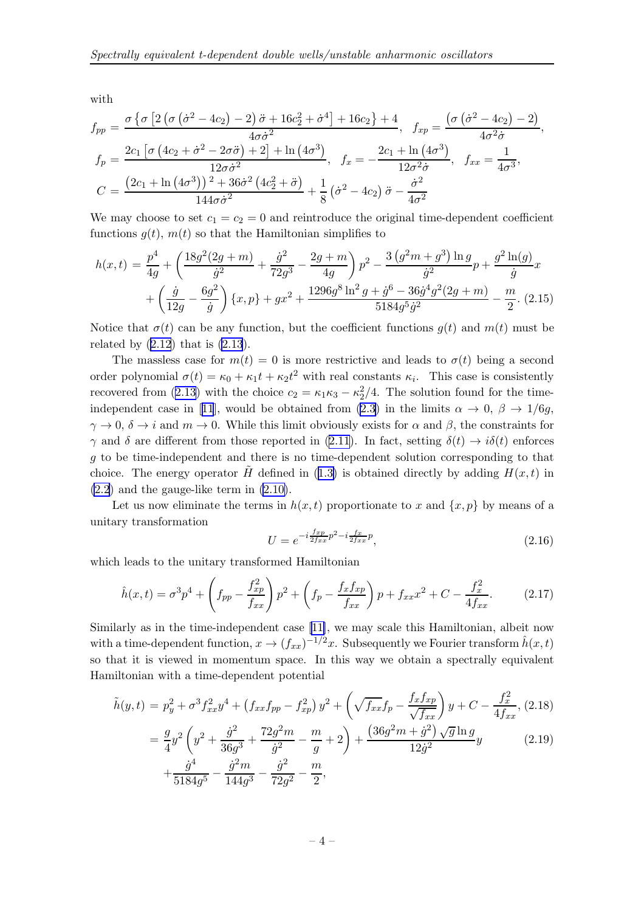<span id="page-3-0"></span>with

$$
f_{pp} = \frac{\sigma \left\{ \sigma \left[ 2 \left( \sigma \left( \dot{\sigma}^2 - 4c_2 \right) - 2 \right) \ddot{\sigma} + 16c_2^2 + \dot{\sigma}^4 \right] + 16c_2 \right\} + 4}{4\sigma \dot{\sigma}^2}, \quad f_{xp} = \frac{\left( \sigma \left( \dot{\sigma}^2 - 4c_2 \right) - 2 \right)}{4\sigma^2 \dot{\sigma}},
$$

$$
f_p = \frac{2c_1 \left[ \sigma \left( 4c_2 + \dot{\sigma}^2 - 2\sigma \ddot{\sigma} \right) + 2 \right] + \ln \left( 4\sigma^3 \right)}{12\sigma \dot{\sigma}^2}, \quad f_x = -\frac{2c_1 + \ln \left( 4\sigma^3 \right)}{12\sigma^2 \dot{\sigma}}, \quad f_{xx} = \frac{1}{4\sigma^3},
$$

$$
C = \frac{\left( 2c_1 + \ln \left( 4\sigma^3 \right) \right)^2 + 36\dot{\sigma}^2 \left( 4c_2^2 + \ddot{\sigma} \right)}{144\sigma \dot{\sigma}^2} + \frac{1}{8} \left( \dot{\sigma}^2 - 4c_2 \right) \ddot{\sigma} - \frac{\dot{\sigma}^2}{4\sigma^2}
$$

We may choose to set  $c_1 = c_2 = 0$  and reintroduce the original time-dependent coefficient functions  $q(t)$ ,  $m(t)$  so that the Hamiltonian simplifies to

$$
h(x,t) = \frac{p^4}{4g} + \left(\frac{18g^2(2g+m)}{\dot{g}^2} + \frac{\dot{g}^2}{72g^3} - \frac{2g+m}{4g}\right)p^2 - \frac{3\left(g^2m + g^3\right)\ln g}{\dot{g}^2}p + \frac{g^2\ln(g)}{\dot{g}}x
$$

$$
+ \left(\frac{\dot{g}}{12g} - \frac{6g^2}{\dot{g}}\right)\left\{x, p\right\} + gx^2 + \frac{1296g^8\ln^2 g + \dot{g}^6 - 36\dot{g}^4 g^2(2g+m)}{5184g^5 \dot{g}^2} - \frac{m}{2}.\tag{2.15}
$$

Notice that  $\sigma(t)$  can be any function, but the coefficient functions  $g(t)$  and  $m(t)$  must be related by  $(2.12)$  that is  $(2.13)$ .

The massless case for  $m(t) = 0$  is more restrictive and leads to  $\sigma(t)$  being a second order polynomial  $\sigma(t) = \kappa_0 + \kappa_1 t + \kappa_2 t^2$  with real constants  $\kappa_i$ . This case is consistently recoveredfrom ([2.13](#page-2-0)) with the choice  $c_2 = \kappa_1 \kappa_3 - \kappa_2^2/4$ . The solution found for the time-independentcase in [[11](#page-5-0)], would be obtained from [\(2.3\)](#page-2-0) in the limits  $\alpha \to 0$ ,  $\beta \to 1/6q$ ,  $\gamma \to 0$ ,  $\delta \to i$  and  $m \to 0$ . While this limit obviously exists for  $\alpha$  and  $\beta$ , the constraints for  $\gamma$ and  $\delta$  are different from those reported in ([2.11](#page-2-0)). In fact, setting  $\delta(t) \to i\delta(t)$  enforces g to be time-independent and there is no time-dependent solution corresponding to that choice.The energy operator  $\tilde{H}$  defined in ([1.3\)](#page-1-0) is obtained directly by adding  $H(x, t)$  in [\(2.2](#page-1-0)) and the gauge-like term in [\(2.10\)](#page-2-0).

Let us now eliminate the terms in  $h(x, t)$  proportionate to x and  $\{x, p\}$  by means of a unitary transformation

$$
U = e^{-i\frac{f_{xp}}{2f_{xx}}p^2 - i\frac{f_x}{2f_{xx}}p},
$$
\n(2.16)

which leads to the unitary transformed Hamiltonian

$$
\hat{h}(x,t) = \sigma^3 p^4 + \left( f_{pp} - \frac{f_{xp}^2}{f_{xx}} \right) p^2 + \left( f_p - \frac{f_x f_{xp}}{f_{xx}} \right) p + f_{xx} x^2 + C - \frac{f_x^2}{4f_{xx}}.
$$
 (2.17)

Similarly as in the time-independent case [\[11\]](#page-5-0), we may scale this Hamiltonian, albeit now with a time-dependent function,  $x \to (f_{xx})^{-1/2}x$ . Subsequently we Fourier transform  $\hat{h}(x, t)$ so that it is viewed in momentum space. In this way we obtain a spectrally equivalent Hamiltonian with a time-dependent potential

$$
\tilde{h}(y,t) = p_y^2 + \sigma^3 f_{xx}^2 y^4 + (f_{xx} f_{pp} - f_{xp}^2) y^2 + \left(\sqrt{f_{xx}} f_p - \frac{f_x f_{xp}}{\sqrt{f_{xx}}}\right) y + C - \frac{f_x^2}{4 f_{xx}}, (2.18)
$$
  

$$
= \frac{g}{4} y^2 \left(y^2 + \frac{\dot{g}^2}{36g^3} + \frac{72g^2 m}{\dot{g}^2} - \frac{m}{g} + 2\right) + \frac{(36g^2 m + \dot{g}^2) \sqrt{g} \ln g}{12\dot{g}^2} y \tag{2.19}
$$
  

$$
+ \frac{\dot{g}^4}{5184g^5} - \frac{\dot{g}^2 m}{144g^3} - \frac{\dot{g}^2}{72g^2} - \frac{m}{2},
$$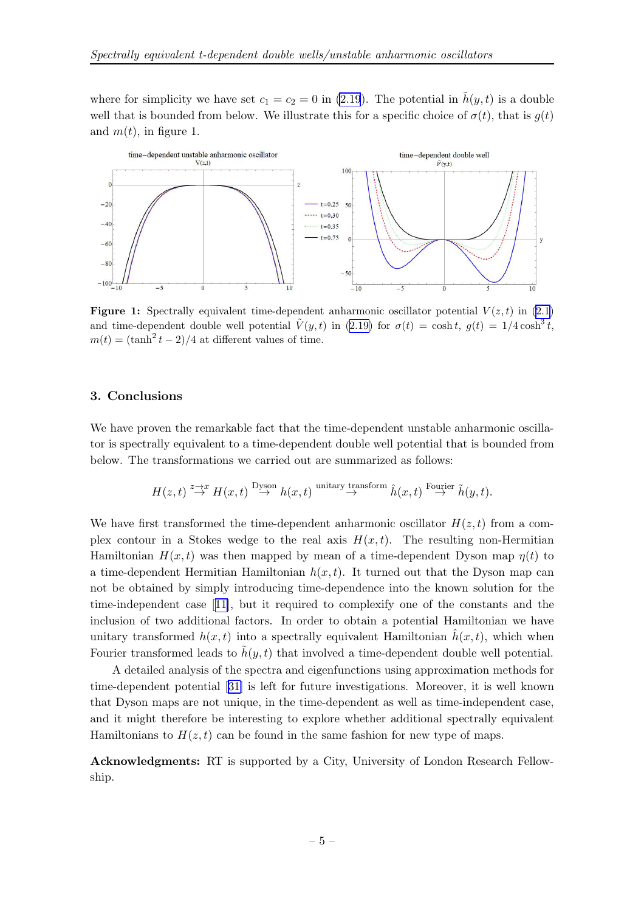where for simplicity we have set  $c_1 = c_2 = 0$  in [\(2.19](#page-3-0)). The potential in  $\tilde{h}(y, t)$  is a double well that is bounded from below. We illustrate this for a specific choice of  $\sigma(t)$ , that is  $g(t)$ and  $m(t)$ , in figure 1.



**Figure 1:** Spectrally equivalent time-dependent anharmonic oscillator potential  $V(z, t)$  in [\(2.1](#page-1-0)) andtime-dependent double well potential  $\tilde{V}(y,t)$  in ([2.19\)](#page-3-0) for  $\sigma(t) = \cosh t$ ,  $g(t) = 1/4 \cosh^3 t$ ,  $m(t) = (\tanh^2 t - 2)/4$  at different values of time.

## 3. Conclusions

We have proven the remarkable fact that the time-dependent unstable anharmonic oscillator is spectrally equivalent to a time-dependent double well potential that is bounded from below. The transformations we carried out are summarized as follows:

$$
H(z,t) \stackrel{z \to x}{\to} H(x,t) \stackrel{\text{Dyson}}{\to} h(x,t) \stackrel{\text{unitary transform}}{\to} \hat{h}(x,t) \stackrel{\text{Fourier}}{\to} \tilde{h}(y,t).
$$

We have first transformed the time-dependent anharmonic oscillator  $H(z, t)$  from a complex contour in a Stokes wedge to the real axis  $H(x, t)$ . The resulting non-Hermitian Hamiltonian  $H(x, t)$  was then mapped by mean of a time-dependent Dyson map  $\eta(t)$  to a time-dependent Hermitian Hamiltonian  $h(x, t)$ . It turned out that the Dyson map can not be obtained by simply introducing time-dependence into the known solution for the time-independent case[[11\]](#page-5-0), but it required to complexify one of the constants and the inclusion of two additional factors. In order to obtain a potential Hamiltonian we have unitary transformed  $h(x, t)$  into a spectrally equivalent Hamiltonian  $\hat{h}(x, t)$ , which when Fourier transformed leads to  $\tilde{h}(y, t)$  that involved a time-dependent double well potential.

A detailed analysis of the spectra and eigenfunctions using approximation methods for time-dependent potential[[31\]](#page-6-0) is left for future investigations. Moreover, it is well known that Dyson maps are not unique, in the time-dependent as well as time-independent case, and it might therefore be interesting to explore whether additional spectrally equivalent Hamiltonians to  $H(z, t)$  can be found in the same fashion for new type of maps.

Acknowledgments: RT is supported by a City, University of London Research Fellowship.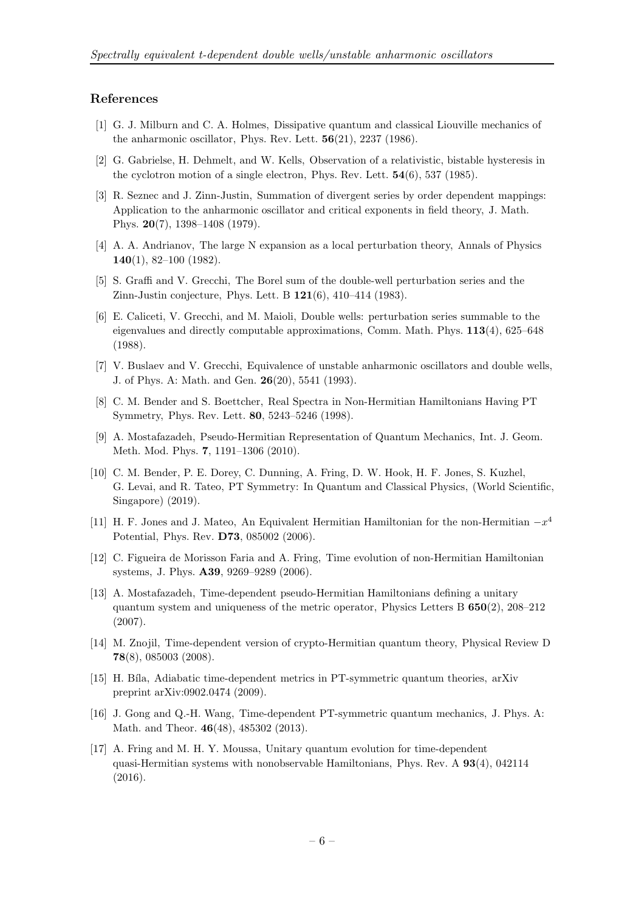### <span id="page-5-0"></span>References

- [1] G. J. Milburn and C. A. Holmes, Dissipative quantum and classical Liouville mechanics of the anharmonic oscillator, Phys. Rev. Lett.  $56(21)$ ,  $2237(1986)$ .
- [2] G. Gabrielse, H. Dehmelt, and W. Kells, Observation of a relativistic, bistable hysteresis in the cyclotron motion of a single electron, Phys. Rev. Lett. 54(6), 537 (1985).
- [3] R. Seznec and J. Zinn-Justin, Summation of divergent series by order dependent mappings: Application to the anharmonic oscillator and critical exponents in field theory, J. Math. Phys. 20(7), 1398–1408 (1979).
- [4] A. A. Andrianov, The large N expansion as a local perturbation theory, Annals of Physics  $140(1)$ , 82-100 (1982).
- [5] S. Graffi and V. Grecchi, The Borel sum of the double-well perturbation series and the Zinn-Justin conjecture, Phys. Lett. B 121(6), 410–414 (1983).
- [6] E. Caliceti, V. Grecchi, and M. Maioli, Double wells: perturbation series summable to the eigenvalues and directly computable approximations, Comm. Math. Phys. 113(4), 625–648 (1988).
- [7] V. Buslaev and V. Grecchi, Equivalence of unstable anharmonic oscillators and double wells, J. of Phys. A: Math. and Gen. 26(20), 5541 (1993).
- [8] C. M. Bender and S. Boettcher, Real Spectra in Non-Hermitian Hamiltonians Having PT Symmetry, Phys. Rev. Lett. 80, 5243–5246 (1998).
- [9] A. Mostafazadeh, Pseudo-Hermitian Representation of Quantum Mechanics, Int. J. Geom. Meth. Mod. Phys. 7, 1191–1306 (2010).
- [10] C. M. Bender, P. E. Dorey, C. Dunning, A. Fring, D. W. Hook, H. F. Jones, S. Kuzhel, G. Levai, and R. Tateo, PT Symmetry: In Quantum and Classical Physics, (World Scientific, Singapore) (2019).
- [11] H. F. Jones and J. Mateo, An Equivalent Hermitian Hamiltonian for the non-Hermitian  $-x^4$ Potential, Phys. Rev. D73, 085002 (2006).
- [12] C. Figueira de Morisson Faria and A. Fring, Time evolution of non-Hermitian Hamiltonian systems, J. Phys. A39, 9269–9289 (2006).
- [13] A. Mostafazadeh, Time-dependent pseudo-Hermitian Hamiltonians defining a unitary quantum system and uniqueness of the metric operator, Physics Letters B  $650(2)$ , 208–212 (2007).
- [14] M. Znojil, Time-dependent version of crypto-Hermitian quantum theory, Physical Review D 78(8), 085003 (2008).
- [15] H. Bíla, Adiabatic time-dependent metrics in PT-symmetric quantum theories, arXiv preprint arXiv:0902.0474 (2009).
- [16] J. Gong and Q.-H. Wang, Time-dependent PT-symmetric quantum mechanics, J. Phys. A: Math. and Theor. 46(48), 485302 (2013).
- [17] A. Fring and M. H. Y. Moussa, Unitary quantum evolution for time-dependent quasi-Hermitian systems with nonobservable Hamiltonians, Phys. Rev. A 93(4), 042114 (2016).